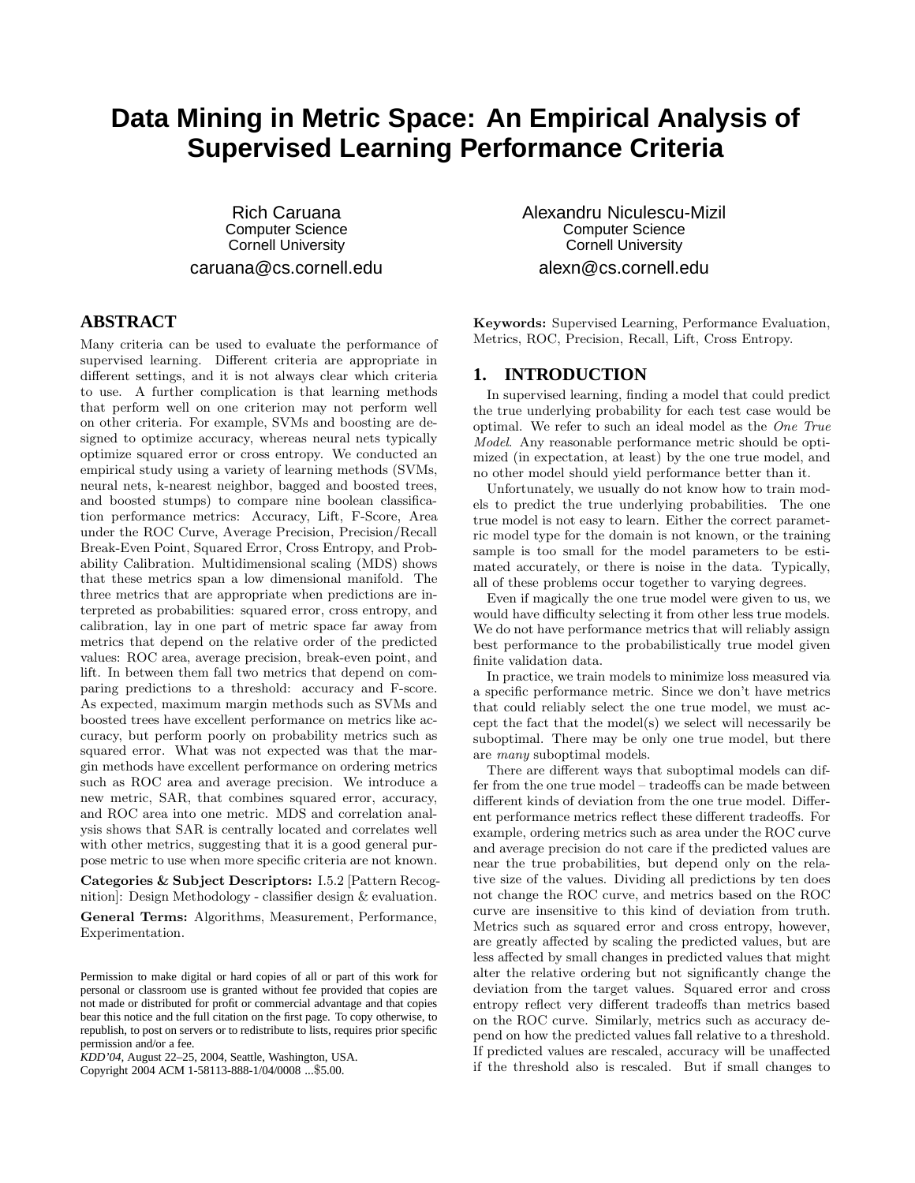# **Data Mining in Metric Space: An Empirical Analysis of Supervised Learning Performance Criteria**

Rich Caruana Computer Science Cornell University caruana@cs.cornell.edu

# **ABSTRACT**

Many criteria can be used to evaluate the performance of supervised learning. Different criteria are appropriate in different settings, and it is not always clear which criteria to use. A further complication is that learning methods that perform well on one criterion may not perform well on other criteria. For example, SVMs and boosting are designed to optimize accuracy, whereas neural nets typically optimize squared error or cross entropy. We conducted an empirical study using a variety of learning methods (SVMs, neural nets, k-nearest neighbor, bagged and boosted trees, and boosted stumps) to compare nine boolean classification performance metrics: Accuracy, Lift, F-Score, Area under the ROC Curve, Average Precision, Precision/Recall Break-Even Point, Squared Error, Cross Entropy, and Probability Calibration. Multidimensional scaling (MDS) shows that these metrics span a low dimensional manifold. The three metrics that are appropriate when predictions are interpreted as probabilities: squared error, cross entropy, and calibration, lay in one part of metric space far away from metrics that depend on the relative order of the predicted values: ROC area, average precision, break-even point, and lift. In between them fall two metrics that depend on comparing predictions to a threshold: accuracy and F-score. As expected, maximum margin methods such as SVMs and boosted trees have excellent performance on metrics like accuracy, but perform poorly on probability metrics such as squared error. What was not expected was that the margin methods have excellent performance on ordering metrics such as ROC area and average precision. We introduce a new metric, SAR, that combines squared error, accuracy, and ROC area into one metric. MDS and correlation analysis shows that SAR is centrally located and correlates well with other metrics, suggesting that it is a good general purpose metric to use when more specific criteria are not known.

Categories & Subject Descriptors: I.5.2 [Pattern Recognition]: Design Methodology - classifier design & evaluation.

General Terms: Algorithms, Measurement, Performance, Experimentation.

Copyright 2004 ACM 1-58113-888-1/04/0008 ...\$5.00.

Alexandru Niculescu-Mizil Computer Science Cornell University alexn@cs.cornell.edu

Keywords: Supervised Learning, Performance Evaluation, Metrics, ROC, Precision, Recall, Lift, Cross Entropy.

#### **1. INTRODUCTION**

In supervised learning, finding a model that could predict the true underlying probability for each test case would be optimal. We refer to such an ideal model as the One True Model. Any reasonable performance metric should be optimized (in expectation, at least) by the one true model, and no other model should yield performance better than it.

Unfortunately, we usually do not know how to train models to predict the true underlying probabilities. The one true model is not easy to learn. Either the correct parametric model type for the domain is not known, or the training sample is too small for the model parameters to be estimated accurately, or there is noise in the data. Typically, all of these problems occur together to varying degrees.

Even if magically the one true model were given to us, we would have difficulty selecting it from other less true models. We do not have performance metrics that will reliably assign best performance to the probabilistically true model given finite validation data.

In practice, we train models to minimize loss measured via a specific performance metric. Since we don't have metrics that could reliably select the one true model, we must accept the fact that the model(s) we select will necessarily be suboptimal. There may be only one true model, but there are many suboptimal models.

There are different ways that suboptimal models can differ from the one true model – tradeoffs can be made between different kinds of deviation from the one true model. Different performance metrics reflect these different tradeoffs. For example, ordering metrics such as area under the ROC curve and average precision do not care if the predicted values are near the true probabilities, but depend only on the relative size of the values. Dividing all predictions by ten does not change the ROC curve, and metrics based on the ROC curve are insensitive to this kind of deviation from truth. Metrics such as squared error and cross entropy, however, are greatly affected by scaling the predicted values, but are less affected by small changes in predicted values that might alter the relative ordering but not significantly change the deviation from the target values. Squared error and cross entropy reflect very different tradeoffs than metrics based on the ROC curve. Similarly, metrics such as accuracy depend on how the predicted values fall relative to a threshold. If predicted values are rescaled, accuracy will be unaffected if the threshold also is rescaled. But if small changes to

Permission to make digital or hard copies of all or part of this work for personal or classroom use is granted without fee provided that copies are not made or distributed for profit or commercial advantage and that copies bear this notice and the full citation on the first page. To copy otherwise, to republish, to post on servers or to redistribute to lists, requires prior specific permission and/or a fee.

*KDD'04,* August 22–25, 2004, Seattle, Washington, USA.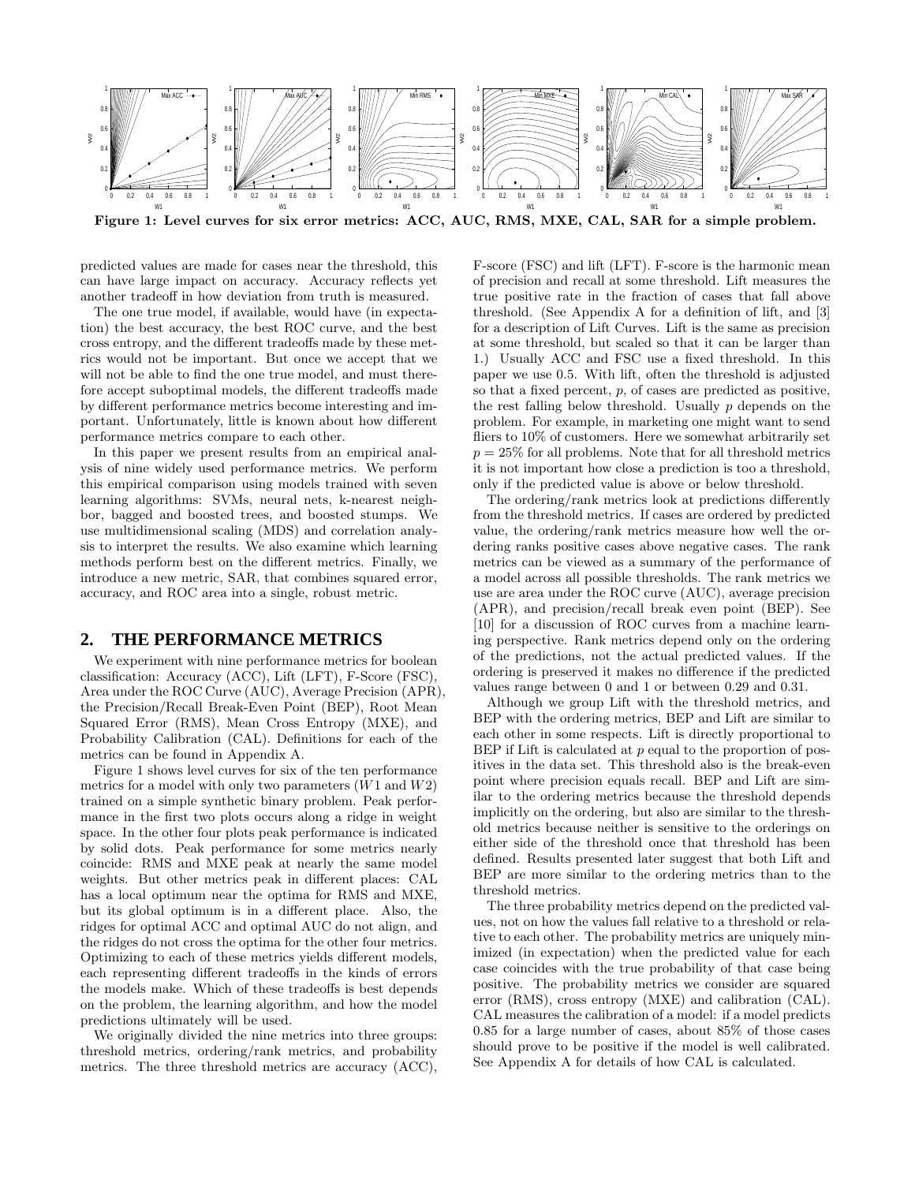

Figure 1: Level curves for six error metrics: ACC, AUC, RMS, MXE, CAL, SAR for a simple problem.

predicted values are made for cases near the threshold, this can have large impact on accuracy. Accuracy reflects yet another tradeoff in how deviation from truth is measured.

The one true model, if available, would have (in expectation) the best accuracy, the best ROC curve, and the best cross entropy, and the different tradeoffs made by these metrics would not be important. But once we accept that we will not be able to find the one true model, and must therefore accept suboptimal models, the different tradeoffs made by different performance metrics become interesting and important. Unfortunately, little is known about how different performance metrics compare to each other.

In this paper we present results from an empirical analysis of nine widely used performance metrics. We perform this empirical comparison using models trained with seven learning algorithms: SVMs, neural nets, k-nearest neighbor, bagged and boosted trees, and boosted stumps. We use multidimensional scaling (MDS) and correlation analysis to interpret the results. We also examine which learning methods perform best on the different metrics. Finally, we introduce a new metric, SAR, that combines squared error, accuracy, and ROC area into a single, robust metric.

# **2. THE PERFORMANCE METRICS**

We experiment with nine performance metrics for boolean classification: Accuracy (ACC), Lift (LFT), F-Score (FSC), Area under the ROC Curve (AUC), Average Precision (APR), the Precision/Recall Break-Even Point (BEP), Root Mean Squared Error (RMS), Mean Cross Entropy (MXE), and Probability Calibration (CAL). Definitions for each of the metrics can be found in Appendix A.

Figure 1 shows level curves for six of the ten performance metrics for a model with only two parameters  $(W1$  and  $W2)$ trained on a simple synthetic binary problem. Peak performance in the first two plots occurs along a ridge in weight space. In the other four plots peak performance is indicated by solid dots. Peak performance for some metrics nearly coincide: RMS and MXE peak at nearly the same model weights. But other metrics peak in different places: CAL has a local optimum near the optima for RMS and MXE, but its global optimum is in a different place. Also, the ridges for optimal ACC and optimal AUC do not align, and the ridges do not cross the optima for the other four metrics. Optimizing to each of these metrics yields different models, each representing different tradeoffs in the kinds of errors the models make. Which of these tradeoffs is best depends on the problem, the learning algorithm, and how the model predictions ultimately will be used.

We originally divided the nine metrics into three groups: threshold metrics, ordering/rank metrics, and probability metrics. The three threshold metrics are accuracy (ACC), F-score (FSC) and lift (LFT). F-score is the harmonic mean of precision and recall at some threshold. Lift measures the true positive rate in the fraction of cases that fall above threshold. (See Appendix A for a definition of lift, and [3] for a description of Lift Curves. Lift is the same as precision at some threshold, but scaled so that it can be larger than 1.) Usually ACC and FSC use a fixed threshold. In this paper we use 0.5. With lift, often the threshold is adjusted so that a fixed percent, p, of cases are predicted as positive, the rest falling below threshold. Usually p depends on the problem. For example, in marketing one might want to send fliers to 10% of customers. Here we somewhat arbitrarily set  $p = 25\%$  for all problems. Note that for all threshold metrics it is not important how close a prediction is too a threshold, only if the predicted value is above or below threshold.

The ordering/rank metrics look at predictions differently from the threshold metrics. If cases are ordered by predicted value, the ordering/rank metrics measure how well the ordering ranks positive cases above negative cases. The rank metrics can be viewed as a summary of the performance of a model across all possible thresholds. The rank metrics we use are area under the ROC curve (AUC), average precision (APR), and precision/recall break even point (BEP). See [10] for a discussion of ROC curves from a machine learning perspective. Rank metrics depend only on the ordering of the predictions, not the actual predicted values. If the ordering is preserved it makes no difference if the predicted values range between 0 and 1 or between 0.29 and 0.31.

Although we group Lift with the threshold metrics, and BEP with the ordering metrics, BEP and Lift are similar to each other in some respects. Lift is directly proportional to BEP if Lift is calculated at  $p$  equal to the proportion of positives in the data set. This threshold also is the break-even point where precision equals recall. BEP and Lift are similar to the ordering metrics because the threshold depends implicitly on the ordering, but also are similar to the threshold metrics because neither is sensitive to the orderings on either side of the threshold once that threshold has been defined. Results presented later suggest that both Lift and BEP are more similar to the ordering metrics than to the threshold metrics.

The three probability metrics depend on the predicted values, not on how the values fall relative to a threshold or relative to each other. The probability metrics are uniquely minimized (in expectation) when the predicted value for each case coincides with the true probability of that case being positive. The probability metrics we consider are squared error (RMS), cross entropy (MXE) and calibration (CAL). CAL measures the calibration of a model: if a model predicts 0.85 for a large number of cases, about 85% of those cases should prove to be positive if the model is well calibrated. See Appendix A for details of how CAL is calculated.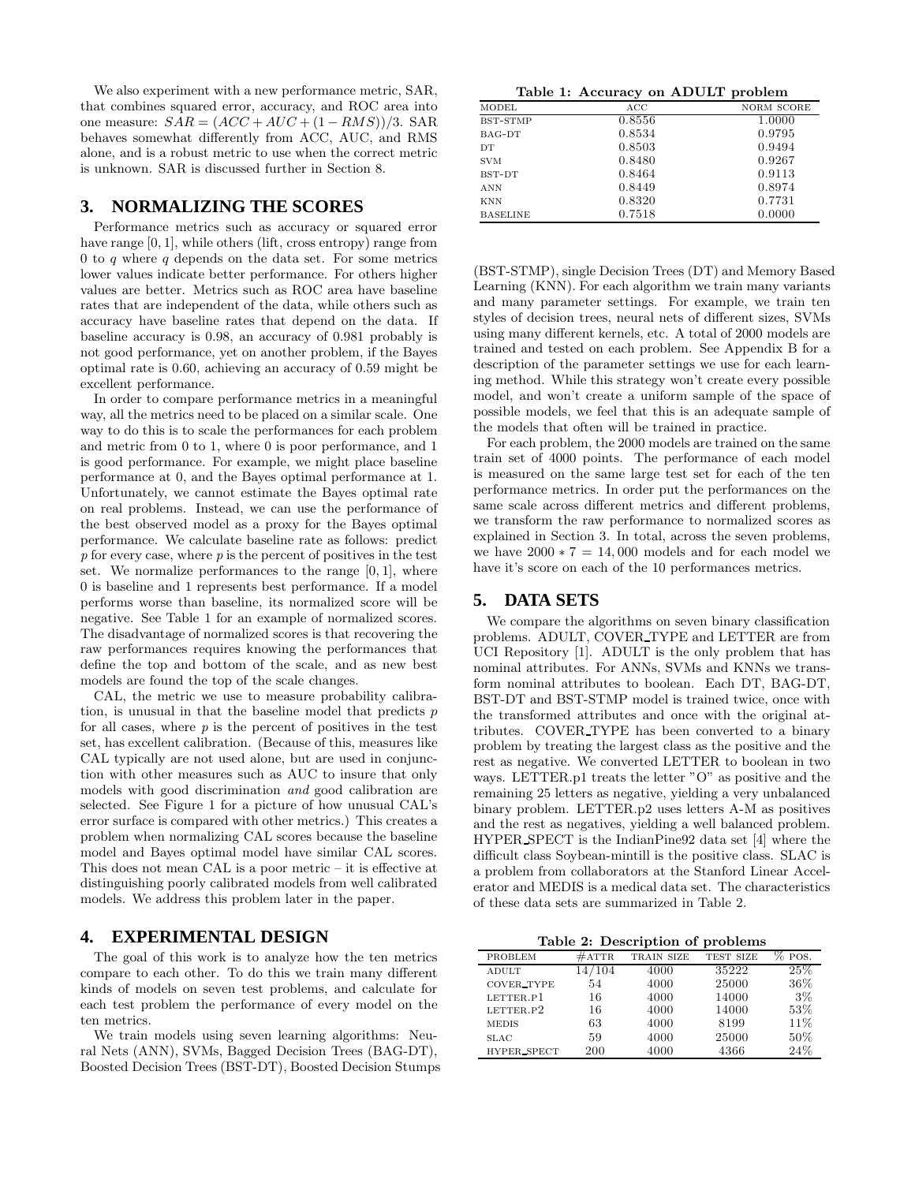We also experiment with a new performance metric, SAR, that combines squared error, accuracy, and ROC area into one measure:  $SAR = (ACC + AUC + (1 - RMS))/3$ . SAR behaves somewhat differently from ACC, AUC, and RMS alone, and is a robust metric to use when the correct metric is unknown. SAR is discussed further in Section 8.

### **3. NORMALIZING THE SCORES**

Performance metrics such as accuracy or squared error have range [0, 1], while others (lift, cross entropy) range from 0 to q where q depends on the data set. For some metrics lower values indicate better performance. For others higher values are better. Metrics such as ROC area have baseline rates that are independent of the data, while others such as accuracy have baseline rates that depend on the data. If baseline accuracy is 0.98, an accuracy of 0.981 probably is not good performance, yet on another problem, if the Bayes optimal rate is 0.60, achieving an accuracy of 0.59 might be excellent performance.

In order to compare performance metrics in a meaningful way, all the metrics need to be placed on a similar scale. One way to do this is to scale the performances for each problem and metric from 0 to 1, where 0 is poor performance, and 1 is good performance. For example, we might place baseline performance at 0, and the Bayes optimal performance at 1. Unfortunately, we cannot estimate the Bayes optimal rate on real problems. Instead, we can use the performance of the best observed model as a proxy for the Bayes optimal performance. We calculate baseline rate as follows: predict  $p$  for every case, where  $p$  is the percent of positives in the test set. We normalize performances to the range  $[0, 1]$ , where 0 is baseline and 1 represents best performance. If a model performs worse than baseline, its normalized score will be negative. See Table 1 for an example of normalized scores. The disadvantage of normalized scores is that recovering the raw performances requires knowing the performances that define the top and bottom of the scale, and as new best models are found the top of the scale changes.

CAL, the metric we use to measure probability calibration, is unusual in that the baseline model that predicts  $p$ for all cases, where  $p$  is the percent of positives in the test set, has excellent calibration. (Because of this, measures like CAL typically are not used alone, but are used in conjunction with other measures such as AUC to insure that only models with good discrimination and good calibration are selected. See Figure 1 for a picture of how unusual CAL's error surface is compared with other metrics.) This creates a problem when normalizing CAL scores because the baseline model and Bayes optimal model have similar CAL scores. This does not mean CAL is a poor metric – it is effective at distinguishing poorly calibrated models from well calibrated models. We address this problem later in the paper.

# **4. EXPERIMENTAL DESIGN**

The goal of this work is to analyze how the ten metrics compare to each other. To do this we train many different kinds of models on seven test problems, and calculate for each test problem the performance of every model on the ten metrics.

We train models using seven learning algorithms: Neural Nets (ANN), SVMs, Bagged Decision Trees (BAG-DT), Boosted Decision Trees (BST-DT), Boosted Decision Stumps

Table 1: Accuracy on ADULT problem

|                 |        | -                 |
|-----------------|--------|-------------------|
| MODEL           | ACC    | <b>NORM SCORE</b> |
| BST-STMP        | 0.8556 | 1.0000            |
| BAG-DT          | 0.8534 | 0.9795            |
| <b>DT</b>       | 0.8503 | 0.9494            |
| <b>SVM</b>      | 0.8480 | 0.9267            |
| BST-DT          | 0.8464 | 0.9113            |
| <b>ANN</b>      | 0.8449 | 0.8974            |
| <b>KNN</b>      | 0.8320 | 0.7731            |
| <b>BASELINE</b> | 0.7518 | 0.0000            |
|                 |        |                   |

(BST-STMP), single Decision Trees (DT) and Memory Based Learning (KNN). For each algorithm we train many variants and many parameter settings. For example, we train ten styles of decision trees, neural nets of different sizes, SVMs using many different kernels, etc. A total of 2000 models are trained and tested on each problem. See Appendix B for a description of the parameter settings we use for each learning method. While this strategy won't create every possible model, and won't create a uniform sample of the space of possible models, we feel that this is an adequate sample of the models that often will be trained in practice.

For each problem, the 2000 models are trained on the same train set of 4000 points. The performance of each model is measured on the same large test set for each of the ten performance metrics. In order put the performances on the same scale across different metrics and different problems, we transform the raw performance to normalized scores as explained in Section 3. In total, across the seven problems, we have  $2000 * 7 = 14,000$  models and for each model we have it's score on each of the 10 performances metrics.

## **5. DATA SETS**

We compare the algorithms on seven binary classification problems. ADULT, COVER TYPE and LETTER are from UCI Repository [1]. ADULT is the only problem that has nominal attributes. For ANNs, SVMs and KNNs we transform nominal attributes to boolean. Each DT, BAG-DT, BST-DT and BST-STMP model is trained twice, once with the transformed attributes and once with the original attributes. COVER TYPE has been converted to a binary problem by treating the largest class as the positive and the rest as negative. We converted LETTER to boolean in two ways. LETTER.p1 treats the letter "O" as positive and the remaining 25 letters as negative, yielding a very unbalanced binary problem. LETTER.p2 uses letters A-M as positives and the rest as negatives, yielding a well balanced problem. HYPER SPECT is the IndianPine92 data set [4] where the difficult class Soybean-mintill is the positive class. SLAC is a problem from collaborators at the Stanford Linear Accelerator and MEDIS is a medical data set. The characteristics of these data sets are summarized in Table 2.

Table 2: Description of problems

| PROBLEM            | $\#\text{ATTR}$ | TRAIN SIZE | TEST SIZE | POS.  |
|--------------------|-----------------|------------|-----------|-------|
| ADULT              | 14/104          | 4000       | 35222     | 25%   |
| <b>COVER TYPE</b>  | 54              | 4000       | 25000     | 36\%  |
| LETTER.P1          | 16              | 4000       | 14000     | $3\%$ |
| LETTER.P2          | 16              | 4000       | 14000     | 53%   |
| <b>MEDIS</b>       | 63              | 4000       | 8199      | 11\%  |
| <b>SLAC</b>        | 59              | 4000       | 25000     | 50%   |
| <b>HYPER_SPECT</b> | 200             | 4000       | 4366      | 24%   |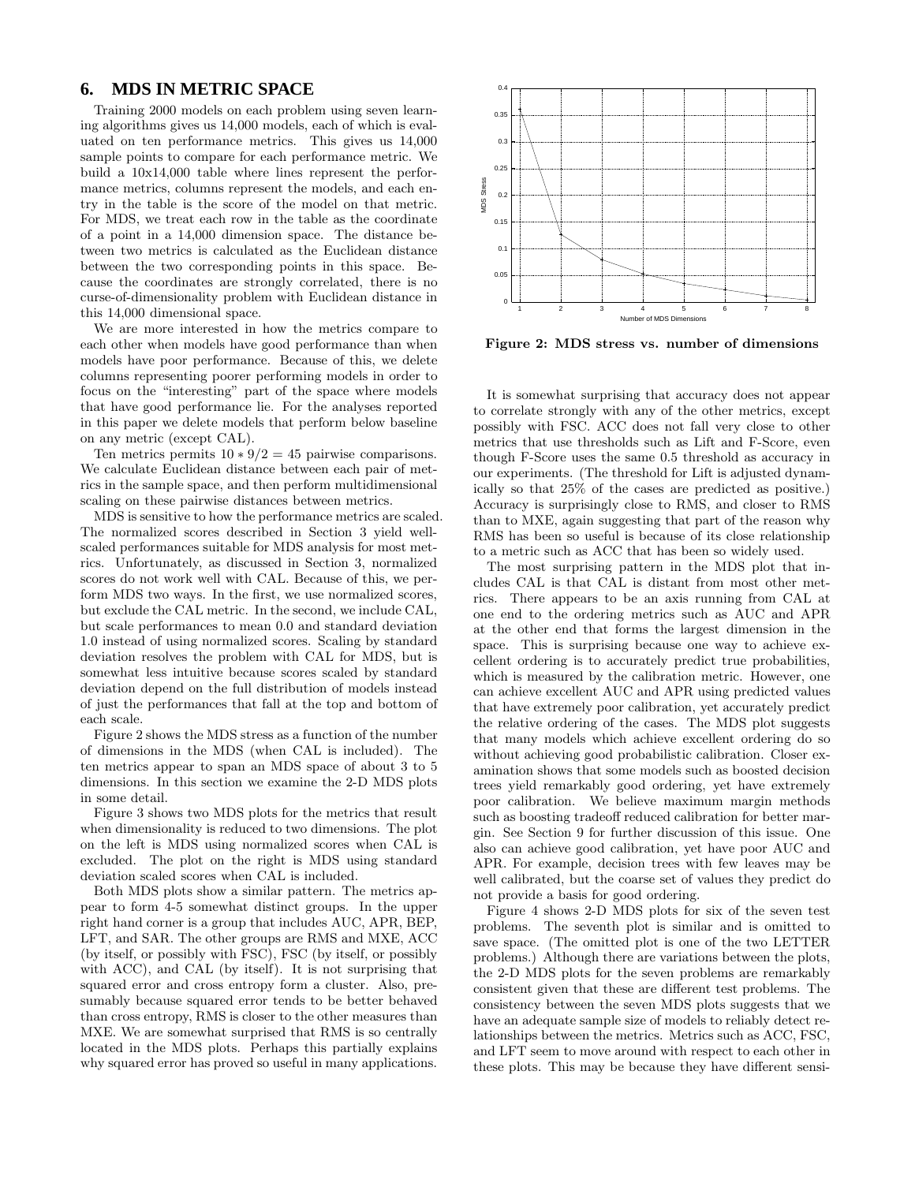#### **6. MDS IN METRIC SPACE**

Training 2000 models on each problem using seven learning algorithms gives us 14,000 models, each of which is evaluated on ten performance metrics. This gives us 14,000 sample points to compare for each performance metric. We build a 10x14,000 table where lines represent the performance metrics, columns represent the models, and each entry in the table is the score of the model on that metric. For MDS, we treat each row in the table as the coordinate of a point in a 14,000 dimension space. The distance between two metrics is calculated as the Euclidean distance between the two corresponding points in this space. Because the coordinates are strongly correlated, there is no curse-of-dimensionality problem with Euclidean distance in this 14,000 dimensional space.

We are more interested in how the metrics compare to each other when models have good performance than when models have poor performance. Because of this, we delete columns representing poorer performing models in order to focus on the "interesting" part of the space where models that have good performance lie. For the analyses reported in this paper we delete models that perform below baseline on any metric (except CAL).

Ten metrics permits  $10 * 9/2 = 45$  pairwise comparisons. We calculate Euclidean distance between each pair of metrics in the sample space, and then perform multidimensional scaling on these pairwise distances between metrics.

MDS is sensitive to how the performance metrics are scaled. The normalized scores described in Section 3 yield wellscaled performances suitable for MDS analysis for most metrics. Unfortunately, as discussed in Section 3, normalized scores do not work well with CAL. Because of this, we perform MDS two ways. In the first, we use normalized scores, but exclude the CAL metric. In the second, we include CAL, but scale performances to mean 0.0 and standard deviation 1.0 instead of using normalized scores. Scaling by standard deviation resolves the problem with CAL for MDS, but is somewhat less intuitive because scores scaled by standard deviation depend on the full distribution of models instead of just the performances that fall at the top and bottom of each scale.

Figure 2 shows the MDS stress as a function of the number of dimensions in the MDS (when CAL is included). The ten metrics appear to span an MDS space of about 3 to 5 dimensions. In this section we examine the 2-D MDS plots in some detail.

Figure 3 shows two MDS plots for the metrics that result when dimensionality is reduced to two dimensions. The plot on the left is MDS using normalized scores when CAL is excluded. The plot on the right is MDS using standard deviation scaled scores when CAL is included.

Both MDS plots show a similar pattern. The metrics appear to form 4-5 somewhat distinct groups. In the upper right hand corner is a group that includes AUC, APR, BEP, LFT, and SAR. The other groups are RMS and MXE, ACC (by itself, or possibly with FSC), FSC (by itself, or possibly with ACC), and CAL (by itself). It is not surprising that squared error and cross entropy form a cluster. Also, presumably because squared error tends to be better behaved than cross entropy, RMS is closer to the other measures than MXE. We are somewhat surprised that RMS is so centrally located in the MDS plots. Perhaps this partially explains why squared error has proved so useful in many applications.



Figure 2: MDS stress vs. number of dimensions

It is somewhat surprising that accuracy does not appear to correlate strongly with any of the other metrics, except possibly with FSC. ACC does not fall very close to other metrics that use thresholds such as Lift and F-Score, even though F-Score uses the same 0.5 threshold as accuracy in our experiments. (The threshold for Lift is adjusted dynamically so that 25% of the cases are predicted as positive.) Accuracy is surprisingly close to RMS, and closer to RMS than to MXE, again suggesting that part of the reason why RMS has been so useful is because of its close relationship to a metric such as ACC that has been so widely used.

The most surprising pattern in the MDS plot that includes CAL is that CAL is distant from most other metrics. There appears to be an axis running from CAL at one end to the ordering metrics such as AUC and APR at the other end that forms the largest dimension in the space. This is surprising because one way to achieve excellent ordering is to accurately predict true probabilities, which is measured by the calibration metric. However, one can achieve excellent AUC and APR using predicted values that have extremely poor calibration, yet accurately predict the relative ordering of the cases. The MDS plot suggests that many models which achieve excellent ordering do so without achieving good probabilistic calibration. Closer examination shows that some models such as boosted decision trees yield remarkably good ordering, yet have extremely poor calibration. We believe maximum margin methods such as boosting tradeoff reduced calibration for better margin. See Section 9 for further discussion of this issue. One also can achieve good calibration, yet have poor AUC and APR. For example, decision trees with few leaves may be well calibrated, but the coarse set of values they predict do not provide a basis for good ordering.

Figure 4 shows 2-D MDS plots for six of the seven test problems. The seventh plot is similar and is omitted to save space. (The omitted plot is one of the two LETTER problems.) Although there are variations between the plots, the 2-D MDS plots for the seven problems are remarkably consistent given that these are different test problems. The consistency between the seven MDS plots suggests that we have an adequate sample size of models to reliably detect relationships between the metrics. Metrics such as ACC, FSC, and LFT seem to move around with respect to each other in these plots. This may be because they have different sensi-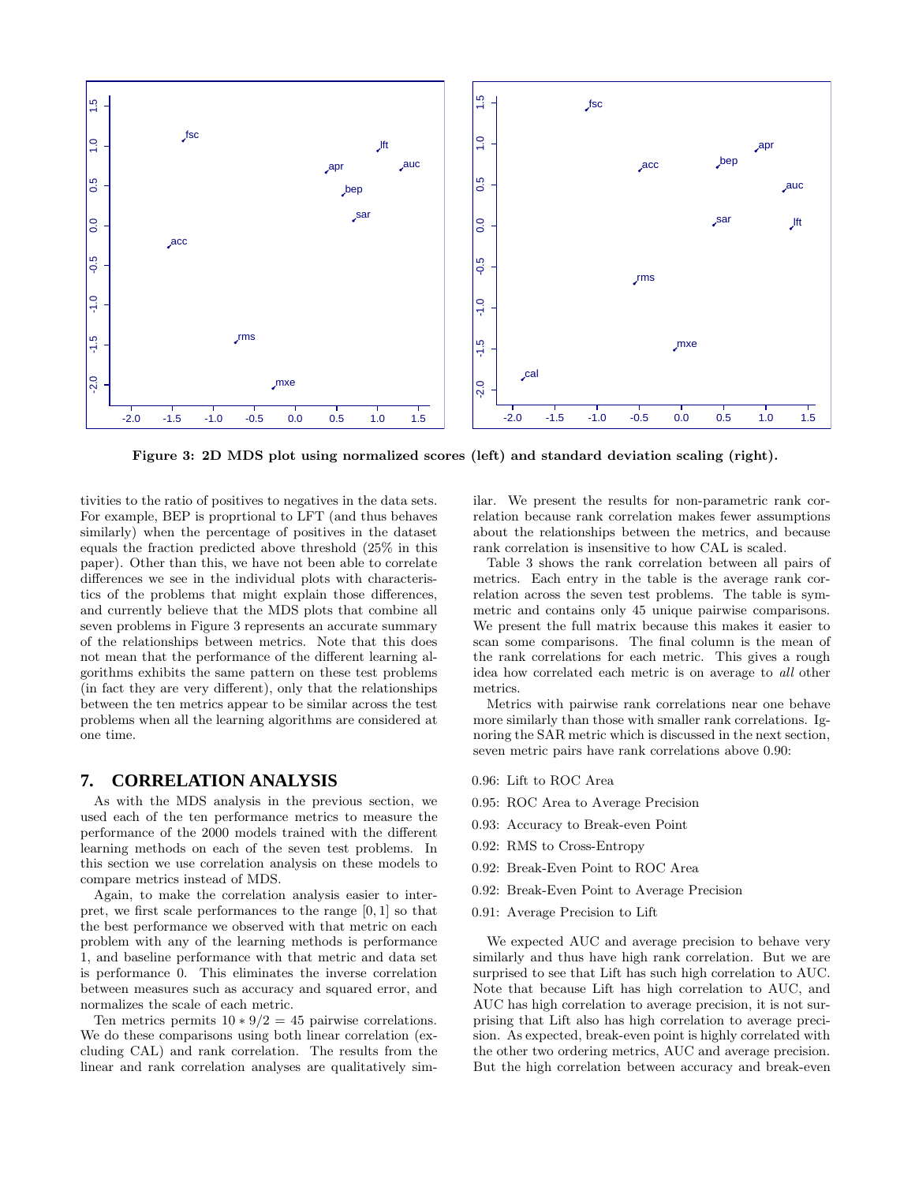

Figure 3: 2D MDS plot using normalized scores (left) and standard deviation scaling (right).

tivities to the ratio of positives to negatives in the data sets. For example, BEP is proprtional to LFT (and thus behaves similarly) when the percentage of positives in the dataset equals the fraction predicted above threshold (25% in this paper). Other than this, we have not been able to correlate differences we see in the individual plots with characteristics of the problems that might explain those differences, and currently believe that the MDS plots that combine all seven problems in Figure 3 represents an accurate summary of the relationships between metrics. Note that this does not mean that the performance of the different learning algorithms exhibits the same pattern on these test problems (in fact they are very different), only that the relationships between the ten metrics appear to be similar across the test problems when all the learning algorithms are considered at one time.

### **7. CORRELATION ANALYSIS**

As with the MDS analysis in the previous section, we used each of the ten performance metrics to measure the performance of the 2000 models trained with the different learning methods on each of the seven test problems. In this section we use correlation analysis on these models to compare metrics instead of MDS.

Again, to make the correlation analysis easier to interpret, we first scale performances to the range [0, 1] so that the best performance we observed with that metric on each problem with any of the learning methods is performance 1, and baseline performance with that metric and data set is performance 0. This eliminates the inverse correlation between measures such as accuracy and squared error, and normalizes the scale of each metric.

Ten metrics permits  $10 * 9/2 = 45$  pairwise correlations. We do these comparisons using both linear correlation (excluding CAL) and rank correlation. The results from the linear and rank correlation analyses are qualitatively similar. We present the results for non-parametric rank correlation because rank correlation makes fewer assumptions about the relationships between the metrics, and because rank correlation is insensitive to how CAL is scaled.

Table 3 shows the rank correlation between all pairs of metrics. Each entry in the table is the average rank correlation across the seven test problems. The table is symmetric and contains only 45 unique pairwise comparisons. We present the full matrix because this makes it easier to scan some comparisons. The final column is the mean of the rank correlations for each metric. This gives a rough idea how correlated each metric is on average to all other metrics.

Metrics with pairwise rank correlations near one behave more similarly than those with smaller rank correlations. Ignoring the SAR metric which is discussed in the next section, seven metric pairs have rank correlations above 0.90:

0.96: Lift to ROC Area

- 0.95: ROC Area to Average Precision
- 0.93: Accuracy to Break-even Point
- 0.92: RMS to Cross-Entropy
- 0.92: Break-Even Point to ROC Area
- 0.92: Break-Even Point to Average Precision
- 0.91: Average Precision to Lift

We expected AUC and average precision to behave very similarly and thus have high rank correlation. But we are surprised to see that Lift has such high correlation to AUC. Note that because Lift has high correlation to AUC, and AUC has high correlation to average precision, it is not surprising that Lift also has high correlation to average precision. As expected, break-even point is highly correlated with the other two ordering metrics, AUC and average precision. But the high correlation between accuracy and break-even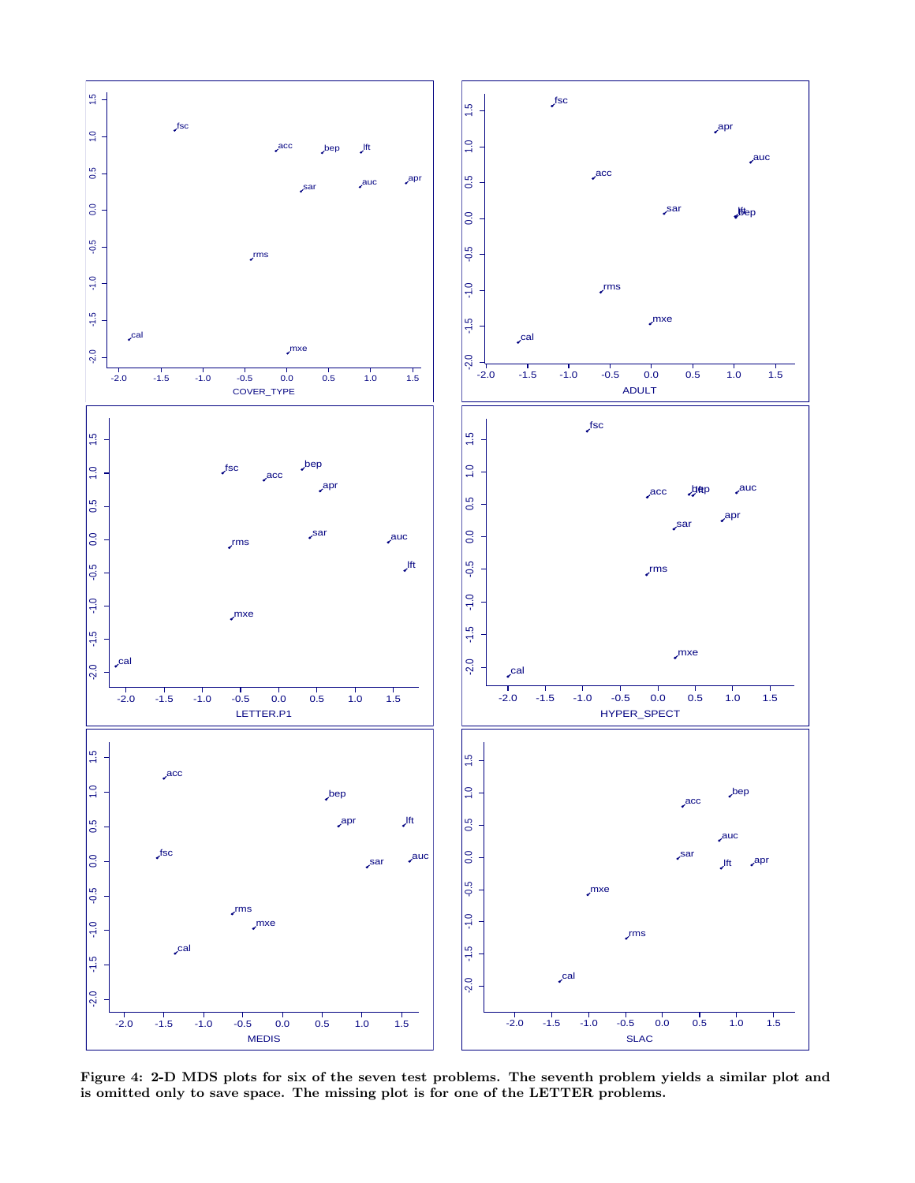

Figure 4: 2-D MDS plots for six of the seven test problems. The seventh problem yields a similar plot and is omitted only to save space. The missing plot is for one of the LETTER problems.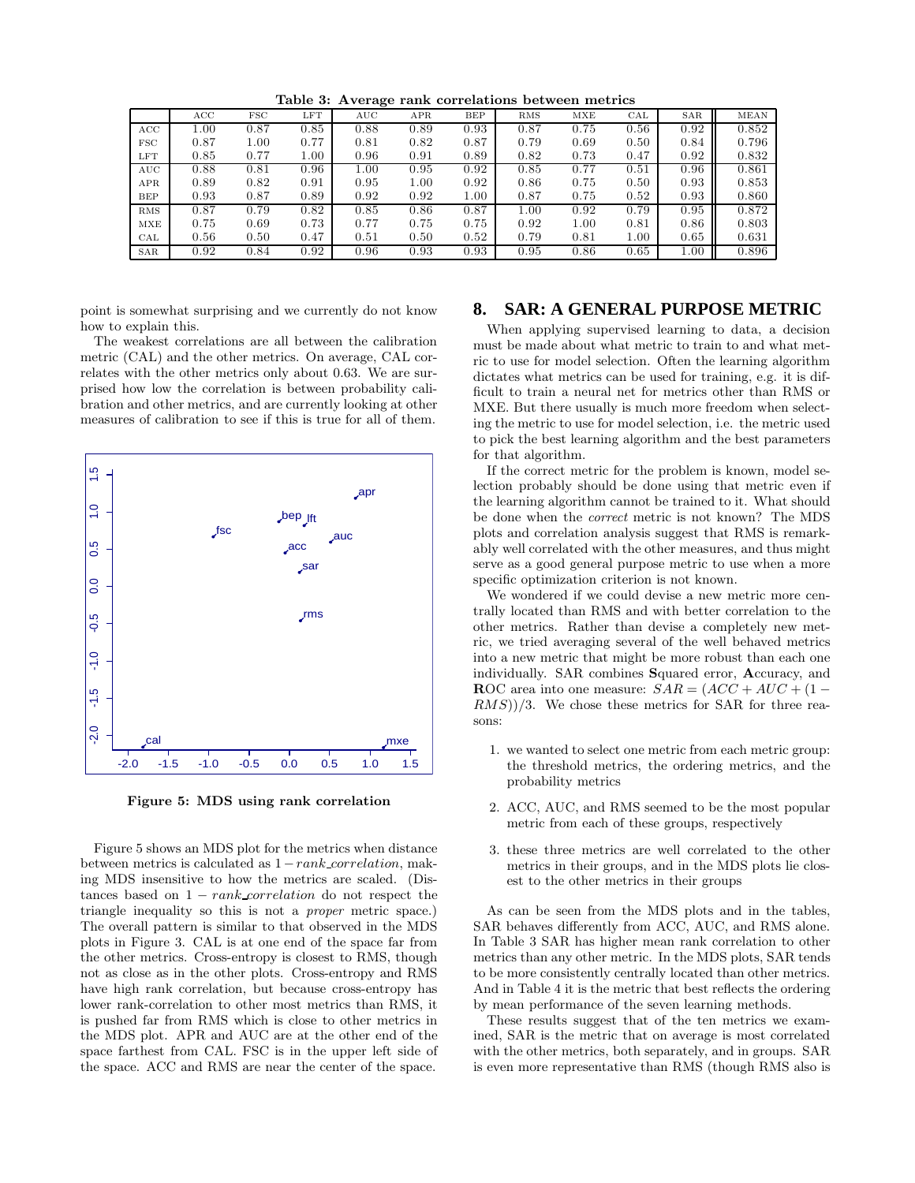|              | ACC  | FSC  | LFT  | AUC  | APR  | <b>BEP</b> | <b>RMS</b> | <b>MXE</b> | CAL  | <b>SAR</b> | MEAN  |
|--------------|------|------|------|------|------|------------|------------|------------|------|------------|-------|
| ACC          | 1.00 | 0.87 | 0.85 | 0.88 | 0.89 | 0.93       | 0.87       | 0.75       | 0.56 | 0.92       | 0.852 |
| $_{\rm FSC}$ | 0.87 | 1.00 | 0.77 | 0.81 | 0.82 | 0.87       | 0.79       | 0.69       | 0.50 | 0.84       | 0.796 |
| LFT          | 0.85 | 0.77 | 1.00 | 0.96 | 0.91 | 0.89       | 0.82       | 0.73       | 0.47 | 0.92       | 0.832 |
| AUC          | 0.88 | 0.81 | 0.96 | 1.00 | 0.95 | 0.92       | 0.85       | 0.77       | 0.51 | 0.96       | 0.861 |
| <b>APR</b>   | 0.89 | 0.82 | 0.91 | 0.95 | 1.00 | 0.92       | 0.86       | 0.75       | 0.50 | 0.93       | 0.853 |
| <b>BEP</b>   | 0.93 | 0.87 | 0.89 | 0.92 | 0.92 | 1.00       | 0.87       | 0.75       | 0.52 | 0.93       | 0.860 |
| <b>RMS</b>   | 0.87 | 0.79 | 0.82 | 0.85 | 0.86 | 0.87       | 1.00       | 0.92       | 0.79 | 0.95       | 0.872 |
| <b>MXE</b>   | 0.75 | 0.69 | 0.73 | 0.77 | 0.75 | 0.75       | 0.92       | 1.00       | 0.81 | 0.86       | 0.803 |
| CAL          | 0.56 | 0.50 | 0.47 | 0.51 | 0.50 | 0.52       | 0.79       | 0.81       | 1.00 | 0.65       | 0.631 |
| SAR          | 0.92 | 0.84 | 0.92 | 0.96 | 0.93 | 0.93       | 0.95       | 0.86       | 0.65 | $1.00\,$   | 0.896 |

Table 3: Average rank correlations between metrics

point is somewhat surprising and we currently do not know how to explain this.

The weakest correlations are all between the calibration metric (CAL) and the other metrics. On average, CAL correlates with the other metrics only about 0.63. We are surprised how low the correlation is between probability calibration and other metrics, and are currently looking at other measures of calibration to see if this is true for all of them.



Figure 5: MDS using rank correlation

Figure 5 shows an MDS plot for the metrics when distance between metrics is calculated as 1−rank correlation, making MDS insensitive to how the metrics are scaled. (Distances based on  $1 - rank correlation$  do not respect the triangle inequality so this is not a proper metric space.) The overall pattern is similar to that observed in the MDS plots in Figure 3. CAL is at one end of the space far from the other metrics. Cross-entropy is closest to RMS, though not as close as in the other plots. Cross-entropy and RMS have high rank correlation, but because cross-entropy has lower rank-correlation to other most metrics than RMS, it is pushed far from RMS which is close to other metrics in the MDS plot. APR and AUC are at the other end of the space farthest from CAL. FSC is in the upper left side of the space. ACC and RMS are near the center of the space.

#### **8. SAR: A GENERAL PURPOSE METRIC**

When applying supervised learning to data, a decision must be made about what metric to train to and what metric to use for model selection. Often the learning algorithm dictates what metrics can be used for training, e.g. it is difficult to train a neural net for metrics other than RMS or MXE. But there usually is much more freedom when selecting the metric to use for model selection, i.e. the metric used to pick the best learning algorithm and the best parameters for that algorithm.

If the correct metric for the problem is known, model selection probably should be done using that metric even if the learning algorithm cannot be trained to it. What should be done when the correct metric is not known? The MDS plots and correlation analysis suggest that RMS is remarkably well correlated with the other measures, and thus might serve as a good general purpose metric to use when a more specific optimization criterion is not known.

We wondered if we could devise a new metric more centrally located than RMS and with better correlation to the other metrics. Rather than devise a completely new metric, we tried averaging several of the well behaved metrics into a new metric that might be more robust than each one individually. SAR combines Squared error, Accuracy, and ROC area into one measure:  $SAR = (ACC + AUC + (1 RMS$ )/3. We chose these metrics for SAR for three reasons:

- 1. we wanted to select one metric from each metric group: the threshold metrics, the ordering metrics, and the probability metrics
- 2. ACC, AUC, and RMS seemed to be the most popular metric from each of these groups, respectively
- 3. these three metrics are well correlated to the other metrics in their groups, and in the MDS plots lie closest to the other metrics in their groups

As can be seen from the MDS plots and in the tables, SAR behaves differently from ACC, AUC, and RMS alone. In Table 3 SAR has higher mean rank correlation to other metrics than any other metric. In the MDS plots, SAR tends to be more consistently centrally located than other metrics. And in Table 4 it is the metric that best reflects the ordering by mean performance of the seven learning methods.

These results suggest that of the ten metrics we examined, SAR is the metric that on average is most correlated with the other metrics, both separately, and in groups. SAR is even more representative than RMS (though RMS also is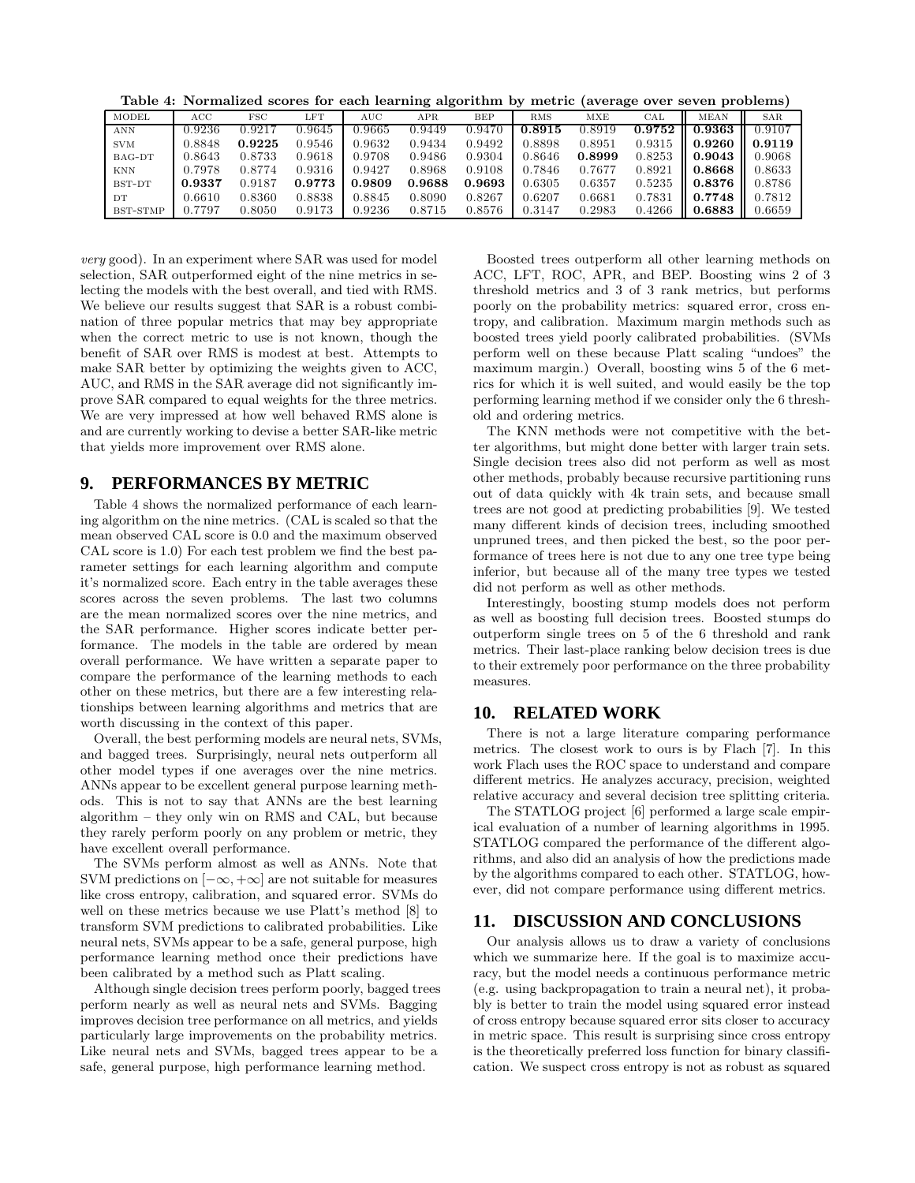Table 4: Normalized scores for each learning algorithm by metric (average over seven problems)

| MODEL      | ACC        | $_{\rm FSC}$ | LFT    | $\rm AUC$ | APR    | BEP    | <b>RMS</b> | <b>MXE</b> | CAL    | MEAN   | <b>SAR</b>  |
|------------|------------|--------------|--------|-----------|--------|--------|------------|------------|--------|--------|-------------|
| <b>ANN</b> | ${0.9236}$ | 0.921        | 0.9645 | 0.9665    | 0.9449 | 0.9470 | 0.8915     | 0.8919     | 0.9752 | 0.9363 | $_{0.9107}$ |
| <b>SVM</b> | 0.8848     | 0.9225       | 0.9546 | 0.9632    | 0.9434 | 0.9492 | 0.8898     | 0.8951     | 0.9315 | 0.9260 | 0.9119      |
| BAG-DT     | 0.8643     | 0.8733       | 0.9618 | 0.9708    | 0.9486 | 0.9304 | 0.8646     | 0.8999     | 0.8253 | 0.9043 | 0.9068      |
| <b>KNN</b> | 0.7978     | 0.8774       | 0.9316 | 0.9427    | 0.8968 | 0.9108 | 0.7846     | 0.7677     | 0.8921 | 0.8668 | 0.8633      |
| BST-DT     | 0.9337     | 0.9187       | 0.9773 | 0.9809    | 0.9688 | 0.9693 | 0.6305     | 0.6357     | 0.5235 | 0.8376 | 0.8786      |
| DT         | 0.6610     | 0.8360       | 0.8838 | 0.8845    | 0.8090 | 0.8267 | 0.6207     | 0.6681     | 0.7831 | 0.7748 | 0.7812      |
| BST-STMP   | 0.7797     | 0.8050       | 0.9173 | 0.9236    | 0.8715 | 0.8576 | 0.3147     | 0.2983     | 0.4266 | 0.6883 | 0.6659      |

very good). In an experiment where SAR was used for model selection, SAR outperformed eight of the nine metrics in selecting the models with the best overall, and tied with RMS. We believe our results suggest that SAR is a robust combination of three popular metrics that may bey appropriate when the correct metric to use is not known, though the benefit of SAR over RMS is modest at best. Attempts to make SAR better by optimizing the weights given to ACC, AUC, and RMS in the SAR average did not significantly improve SAR compared to equal weights for the three metrics. We are very impressed at how well behaved RMS alone is and are currently working to devise a better SAR-like metric that yields more improvement over RMS alone.

# **9. PERFORMANCES BY METRIC**

Table 4 shows the normalized performance of each learning algorithm on the nine metrics. (CAL is scaled so that the mean observed CAL score is 0.0 and the maximum observed CAL score is 1.0) For each test problem we find the best parameter settings for each learning algorithm and compute it's normalized score. Each entry in the table averages these scores across the seven problems. The last two columns are the mean normalized scores over the nine metrics, and the SAR performance. Higher scores indicate better performance. The models in the table are ordered by mean overall performance. We have written a separate paper to compare the performance of the learning methods to each other on these metrics, but there are a few interesting relationships between learning algorithms and metrics that are worth discussing in the context of this paper.

Overall, the best performing models are neural nets, SVMs, and bagged trees. Surprisingly, neural nets outperform all other model types if one averages over the nine metrics. ANNs appear to be excellent general purpose learning methods. This is not to say that ANNs are the best learning algorithm – they only win on RMS and CAL, but because they rarely perform poorly on any problem or metric, they have excellent overall performance.

The SVMs perform almost as well as ANNs. Note that SVM predictions on  $[-\infty, +\infty]$  are not suitable for measures like cross entropy, calibration, and squared error. SVMs do well on these metrics because we use Platt's method [8] to transform SVM predictions to calibrated probabilities. Like neural nets, SVMs appear to be a safe, general purpose, high performance learning method once their predictions have been calibrated by a method such as Platt scaling.

Although single decision trees perform poorly, bagged trees perform nearly as well as neural nets and SVMs. Bagging improves decision tree performance on all metrics, and yields particularly large improvements on the probability metrics. Like neural nets and SVMs, bagged trees appear to be a safe, general purpose, high performance learning method.

Boosted trees outperform all other learning methods on ACC, LFT, ROC, APR, and BEP. Boosting wins 2 of 3 threshold metrics and 3 of 3 rank metrics, but performs poorly on the probability metrics: squared error, cross entropy, and calibration. Maximum margin methods such as boosted trees yield poorly calibrated probabilities. (SVMs perform well on these because Platt scaling "undoes" the maximum margin.) Overall, boosting wins 5 of the 6 metrics for which it is well suited, and would easily be the top performing learning method if we consider only the 6 threshold and ordering metrics.

The KNN methods were not competitive with the better algorithms, but might done better with larger train sets. Single decision trees also did not perform as well as most other methods, probably because recursive partitioning runs out of data quickly with 4k train sets, and because small trees are not good at predicting probabilities [9]. We tested many different kinds of decision trees, including smoothed unpruned trees, and then picked the best, so the poor performance of trees here is not due to any one tree type being inferior, but because all of the many tree types we tested did not perform as well as other methods.

Interestingly, boosting stump models does not perform as well as boosting full decision trees. Boosted stumps do outperform single trees on 5 of the 6 threshold and rank metrics. Their last-place ranking below decision trees is due to their extremely poor performance on the three probability measures.

#### **10. RELATED WORK**

There is not a large literature comparing performance metrics. The closest work to ours is by Flach [7]. In this work Flach uses the ROC space to understand and compare different metrics. He analyzes accuracy, precision, weighted relative accuracy and several decision tree splitting criteria.

The STATLOG project [6] performed a large scale empirical evaluation of a number of learning algorithms in 1995. STATLOG compared the performance of the different algorithms, and also did an analysis of how the predictions made by the algorithms compared to each other. STATLOG, however, did not compare performance using different metrics.

# **11. DISCUSSION AND CONCLUSIONS**

Our analysis allows us to draw a variety of conclusions which we summarize here. If the goal is to maximize accuracy, but the model needs a continuous performance metric (e.g. using backpropagation to train a neural net), it probably is better to train the model using squared error instead of cross entropy because squared error sits closer to accuracy in metric space. This result is surprising since cross entropy is the theoretically preferred loss function for binary classification. We suspect cross entropy is not as robust as squared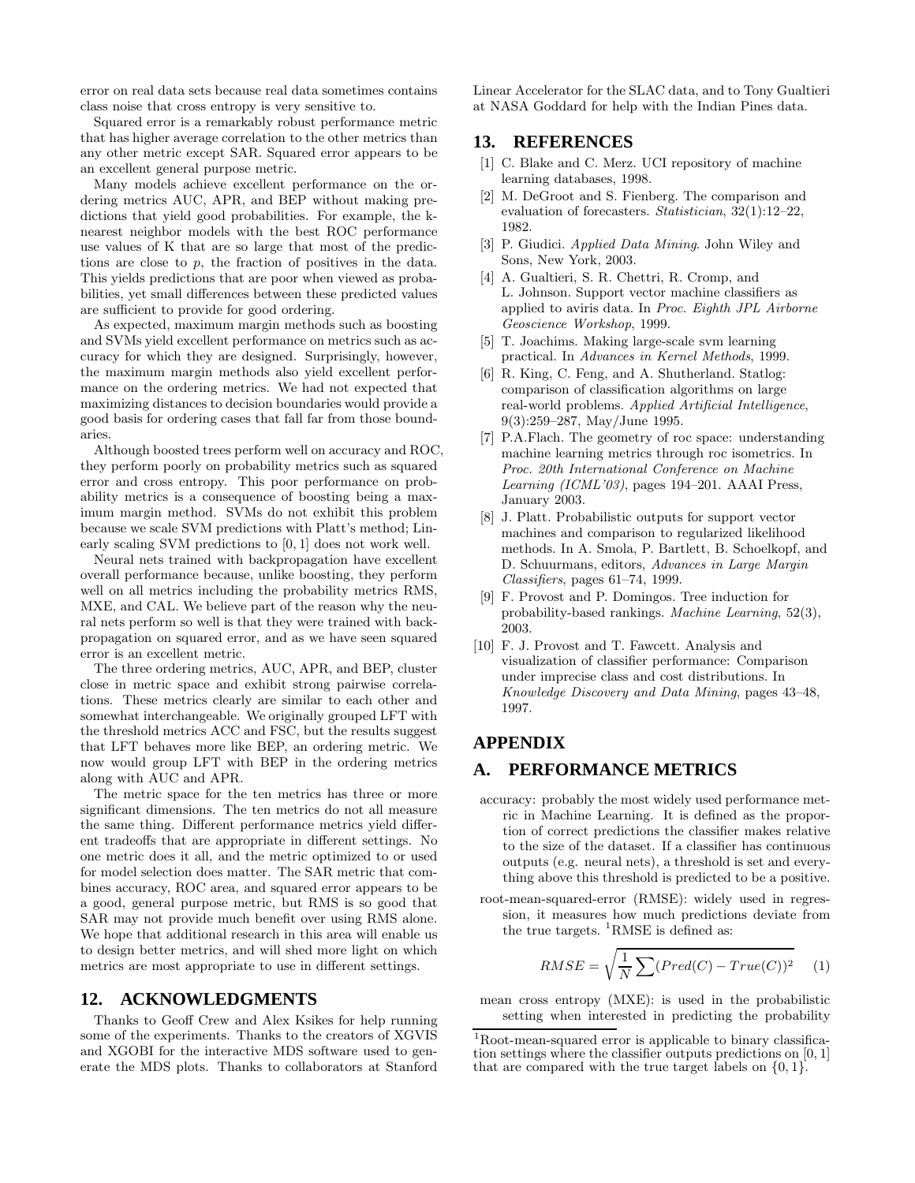error on real data sets because real data sometimes contains class noise that cross entropy is very sensitive to.

Squared error is a remarkably robust performance metric that has higher average correlation to the other metrics than any other metric except SAR. Squared error appears to be an excellent general purpose metric.

Many models achieve excellent performance on the ordering metrics AUC, APR, and BEP without making predictions that yield good probabilities. For example, the knearest neighbor models with the best ROC performance use values of K that are so large that most of the predictions are close to p, the fraction of positives in the data. This yields predictions that are poor when viewed as probabilities, yet small differences between these predicted values are sufficient to provide for good ordering.

As expected, maximum margin methods such as boosting and SVMs yield excellent performance on metrics such as accuracy for which they are designed. Surprisingly, however, the maximum margin methods also yield excellent performance on the ordering metrics. We had not expected that maximizing distances to decision boundaries would provide a good basis for ordering cases that fall far from those boundaries.

Although boosted trees perform well on accuracy and ROC, they perform poorly on probability metrics such as squared error and cross entropy. This poor performance on probability metrics is a consequence of boosting being a maximum margin method. SVMs do not exhibit this problem because we scale SVM predictions with Platt's method; Linearly scaling SVM predictions to [0, 1] does not work well.

Neural nets trained with backpropagation have excellent overall performance because, unlike boosting, they perform well on all metrics including the probability metrics RMS, MXE, and CAL. We believe part of the reason why the neural nets perform so well is that they were trained with backpropagation on squared error, and as we have seen squared error is an excellent metric.

The three ordering metrics, AUC, APR, and BEP, cluster close in metric space and exhibit strong pairwise correlations. These metrics clearly are similar to each other and somewhat interchangeable. We originally grouped LFT with the threshold metrics ACC and FSC, but the results suggest that LFT behaves more like BEP, an ordering metric. We now would group LFT with BEP in the ordering metrics along with AUC and APR.

The metric space for the ten metrics has three or more significant dimensions. The ten metrics do not all measure the same thing. Different performance metrics yield different tradeoffs that are appropriate in different settings. No one metric does it all, and the metric optimized to or used for model selection does matter. The SAR metric that combines accuracy, ROC area, and squared error appears to be a good, general purpose metric, but RMS is so good that SAR may not provide much benefit over using RMS alone. We hope that additional research in this area will enable us to design better metrics, and will shed more light on which metrics are most appropriate to use in different settings.

#### **12. ACKNOWLEDGMENTS**

Thanks to Geoff Crew and Alex Ksikes for help running some of the experiments. Thanks to the creators of XGVIS and XGOBI for the interactive MDS software used to generate the MDS plots. Thanks to collaborators at Stanford

Linear Accelerator for the SLAC data, and to Tony Gualtieri at NASA Goddard for help with the Indian Pines data.

### **13. REFERENCES**

- [1] C. Blake and C. Merz. UCI repository of machine learning databases, 1998.
- [2] M. DeGroot and S. Fienberg. The comparison and evaluation of forecasters. Statistician, 32(1):12–22, 1982.
- [3] P. Giudici. Applied Data Mining. John Wiley and Sons, New York, 2003.
- [4] A. Gualtieri, S. R. Chettri, R. Cromp, and L. Johnson. Support vector machine classifiers as applied to aviris data. In Proc. Eighth JPL Airborne Geoscience Workshop, 1999.
- [5] T. Joachims. Making large-scale svm learning practical. In Advances in Kernel Methods, 1999.
- [6] R. King, C. Feng, and A. Shutherland. Statlog: comparison of classification algorithms on large real-world problems. Applied Artificial Intelligence, 9(3):259–287, May/June 1995.
- [7] P.A.Flach. The geometry of roc space: understanding machine learning metrics through roc isometrics. In Proc. 20th International Conference on Machine Learning (ICML'03), pages 194–201. AAAI Press, January 2003.
- [8] J. Platt. Probabilistic outputs for support vector machines and comparison to regularized likelihood methods. In A. Smola, P. Bartlett, B. Schoelkopf, and D. Schuurmans, editors, Advances in Large Margin Classifiers, pages 61–74, 1999.
- [9] F. Provost and P. Domingos. Tree induction for probability-based rankings. Machine Learning, 52(3), 2003.
- [10] F. J. Provost and T. Fawcett. Analysis and visualization of classifier performance: Comparison under imprecise class and cost distributions. In Knowledge Discovery and Data Mining, pages 43–48, 1997.

# **APPENDIX**

# **A. PERFORMANCE METRICS**

- accuracy: probably the most widely used performance metric in Machine Learning. It is defined as the proportion of correct predictions the classifier makes relative to the size of the dataset. If a classifier has continuous outputs (e.g. neural nets), a threshold is set and everything above this threshold is predicted to be a positive.
- root-mean-squared-error (RMSE): widely used in regression, it measures how much predictions deviate from the true targets. <sup>1</sup>RMSE is defined as:

$$
RMSE = \sqrt{\frac{1}{N} \sum (Pred(C) - True(C))^2} \tag{1}
$$

mean cross entropy (MXE): is used in the probabilistic setting when interested in predicting the probability

<sup>1</sup>Root-mean-squared error is applicable to binary classification settings where the classifier outputs predictions on [0, 1] that are compared with the true target labels on  $\{0, 1\}.$